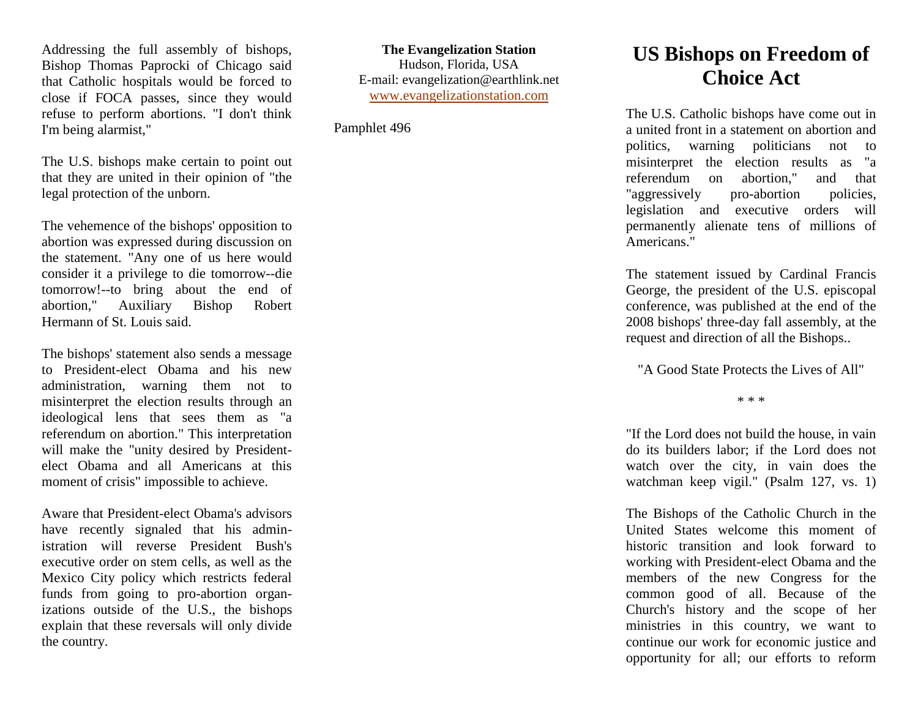Addressing the full assembly of bishops, Bishop Thomas Paprocki of Chicago said that Catholic hospitals would be forced to close if FOCA passes, since they would refuse to perform abortions. "I don't think I'm being alarmist,"

The U.S. bishops make certain to point out that they are united in their opinion of "the legal protection of the unborn.

The vehemence of the bishops' opposition to abortion was expressed during discussion on the statement. "Any one of us here would consider it a privilege to die tomorrow--die tomorrow!--to bring about the end of abortion," Auxiliary Bishop Robert Hermann of St. Louis said.

The bishops' statement also sends a message to President-elect Obama and his new administration, warning them not to misinterpret the election results through an ideological lens that sees them as "a referendum on abortion." This interpretation will make the "unity desired by Presidentelect Obama and all Americans at this moment of crisis" impossible to achieve.

Aware that President-elect Obama's advisors have recently signaled that his administration will reverse President Bush's executive order on stem cells, as well as the Mexico City policy which restricts federal funds from going to pro-abortion organizations outside of the U.S., the bishops explain that these reversals will only divide the country.

**The Evangelization Station** Hudson, Florida, USA E-mail: evangelization@earthlink.net [www.evangelizationstation.com](http://www.pjpiisoe.org/)

Pamphlet 496

## **US Bishops on Freedom of Choice Act**

The U.S. Catholic bishops have come out in a united front in a statement on abortion and politics, warning politicians not to misinterpret the election results as "a referendum on abortion," and that "aggressively pro-abortion policies, legislation and executive orders will permanently alienate tens of millions of Americans."

The statement issued by Cardinal Francis George, the president of the U.S. episcopal conference, was published at the end of the 2008 bishops' three-day fall assembly, at the request and direction of all the Bishops..

"A Good State Protects the Lives of All"

\* \* \*

"If the Lord does not build the house, in vain do its builders labor; if the Lord does not watch over the city, in vain does the watchman keep vigil." (Psalm 127, vs. 1)

The Bishops of the Catholic Church in the United States welcome this moment of historic transition and look forward to working with President-elect Obama and the members of the new Congress for the common good of all. Because of the Church's history and the scope of her ministries in this country, we want to continue our work for economic justice and opportunity for all; our efforts to reform